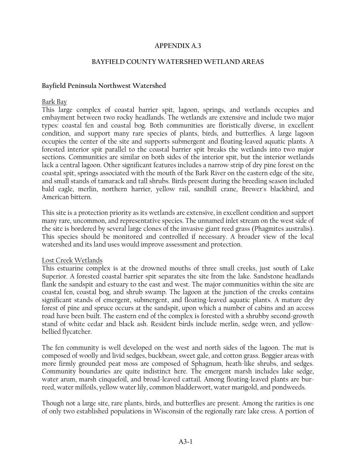### **APPENDIX A.3**

### **BAYFIELD COUNTY WATERSHED WETLAND AREAS**

### **Bayfield Peninsula Northwest Watershed**

#### Bark Bay

This large complex of coastal barrier spit, lagoon, springs, and wetlands occupies and embayment between two rocky headlands. The wetlands are extensive and include two major types: coastal fen and coastal bog. Both communities are floristically diverse, in excellent condition, and support many rare species of plants, birds, and butterflies. A large lagoon occupies the center of the site and supports submergent and floating-leaved aquatic plants. A forested interior spit parallel to the coastal barrier spit breaks the wetlands into two major sections. Communities are similar on both sides of the interior spit, but the interior wetlands lack a central lagoon. Other significant features includes a narrow strip of dry pine forest on the coastal spit, springs associated with the mouth of the Bark River on the eastern edge of the site, and small stands of tamarack and tall shrubs. Birds present during the breeding season included bald eagle, merlin, northern harrier, yellow rail, sandhill crane, Brewer's blackbird, and American bittern.

This site is a protection priority as its wetlands are extensive, in excellent condition and support many rare, uncommon, and representative species. The unnamed inlet stream on the west side of the site is bordered by several large clones of the invasive giant reed grass (Phagmites australis). This species should be monitored and controlled if necessary. A broader view of the local watershed and its land uses would improve assessment and protection.

#### Lost Creek Wetlands

This estuarine complex is at the drowned mouths of three small creeks, just south of Lake Superior. A forested coastal barrier spit separates the site from the lake. Sandstone headlands flank the sandspit and estuary to the east and west. The major communities within the site are coastal fen, coastal bog, and shrub swamp. The lagoon at the junction of the creeks contains significant stands of emergent, submergent, and floating-leaved aquatic plants. A mature dry forest of pine and spruce occurs at the sandspit, upon which a number of cabins and an access road have been built. The eastern end of the complex is forested with a shrubby second-growth stand of white cedar and black ash. Resident birds include merlin, sedge wren, and yellowbellied flycatcher.

The fen community is well developed on the west and north sides of the lagoon. The mat is composed of woolly and livid sedges, buckbean, sweet gale, and cotton grass. Boggier areas with more firmly grounded peat moss are composed of Sphagnum, heath-like shrubs, and sedges. Community boundaries are quite indistinct here. The emergent marsh includes lake sedge, water arum, marsh cinquefoil, and broad-leaved cattail. Among floating-leaved plants are burreed, water milfoils, yellow water lily, common bladderwort, water marigold, and pondweeds.

Though not a large site, rare plants, birds, and butterflies are present. Among the rarities is one of only two established populations in Wisconsin of the regionally rare lake cress. A portion of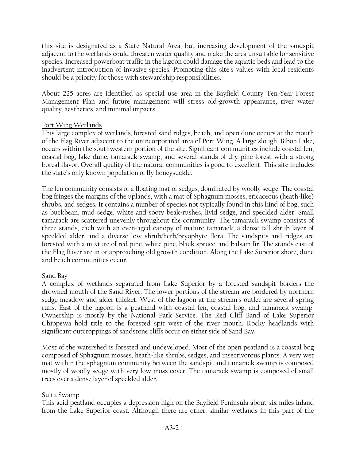this site is designated as a State Natural Area, but increasing development of the sandspit adjacent to the wetlands could threaten water quality and make the area unsuitable for sensitive species. Increased powerboat traffic in the lagoon could damage the aquatic beds and lead to the inadvertent introduction of invasive species. Promoting this site's values with local residents should be a priority for those with stewardship responsibilities.

About 225 acres are identified as special use area in the Bayfield County Ten-Year Forest Management Plan and future management will stress old-growth appearance, river water quality, aesthetics, and minimal impacts.

# Port Wing Wetlands

This large complex of wetlands, forested sand ridges, beach, and open dune occurs at the mouth of the Flag River adjacent to the unincorporated area of Port Wing. A large slough, Bibon Lake, occurs within the southwestern portion of the site. Significant communities include coastal fen, coastal bog, lake dune, tamarack swamp, and several stands of dry pine forest with a strong boreal flavor. Overall quality of the natural communities is good to excellent. This site includes the state's only known population of fly honeysuckle.

The fen community consists of a floating mat of sedges, dominated by woolly sedge. The coastal bog fringes the margins of the uplands, with a mat of Sphagnum mosses, ericaceous (heath-like) shrubs, and sedges. It contains a number of species not typically found in this kind of bog, such as buckbean, mud sedge, white and sooty beak-rushes, livid sedge, and speckled alder. Small tamarack are scattered unevenly throughout the community. The tamarack swamp consists of three stands, each with an even-aged canopy of mature tamarack, a dense tall shrub layer of speckled alder, and a diverse low shrub/herb/bryophyte flora. The sandspits and ridges are forested with a mixture of red pine, white pine, black spruce, and balsam fir. The stands east of the Flag River are in or approaching old growth condition. Along the Lake Superior shore, dune and beach communities occur.

# Sand Bay

A complex of wetlands separated from Lake Superior by a forested sandspit borders the drowned mouth of the Sand River. The lower portions of the stream are bordered by northern sedge meadow and alder thicket. West of the lagoon at the stream's outlet are several spring runs. East of the lagoon is a peatland with coastal fen, coastal bog, and tamarack swamp. Ownership is mostly by the National Park Service. The Red Cliff Band of Lake Superior Chippewa hold title to the forested spit west of the river mouth. Rocky headlands with significant outcroppings of sandstone cliffs occur on either side of Sand Bay.

Most of the watershed is forested and undeveloped. Most of the open peatland is a coastal bog composed of Sphagnum mosses, heath-like shrubs, sedges, and insectivorous plants. A very wet mat within the sphagnum community between the sandspit and tamarack swamp is composed mostly of woolly sedge with very low moss cover. The tamarack swamp is composed of small trees over a dense layer of speckled alder.

# Sultz Swamp

This acid peatland occupies a depression high on the Bayfield Peninsula about six miles inland from the Lake Superior coast. Although there are other, similar wetlands in this part of the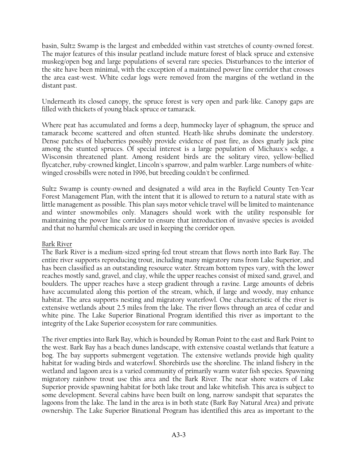basin, Sultz Swamp is the largest and embedded within vast stretches of county-owned forest. The major features of this insular peatland include mature forest of black spruce and extensive muskeg/open bog and large populations of several rare species. Disturbances to the interior of the site have been minimal, with the exception of a maintained power line corridor that crosses the area east-west. White cedar logs were removed from the margins of the wetland in the distant past.

Underneath its closed canopy, the spruce forest is very open and park-like. Canopy gaps are filled with thickets of young black spruce or tamarack.

Where peat has accumulated and forms a deep, hummocky layer of sphagnum, the spruce and tamarack become scattered and often stunted. Heath-like shrubs dominate the understory. Dense patches of blueberries possibly provide evidence of past fire, as does gnarly jack pine among the stunted spruces. Of special interest is a large population of Michaux's sedge, a Wisconsin threatened plant. Among resident birds are the solitary vireo, yellow-bellied flycatcher, ruby-crowned kinglet, Lincoln's sparrow, and palm warbler. Large numbers of whitewinged crossbills were noted in 1996, but breeding couldn't be confirmed.

Sultz Swamp is county-owned and designated a wild area in the Bayfield County Ten-Year Forest Management Plan, with the intent that it is allowed to return to a natural state with as little management as possible. This plan says motor vehicle travel will be limited to maintenance and winter snowmobiles only. Managers should work with the utility responsible for maintaining the power line corridor to ensure that introduction of invasive species is avoided and that no harmful chemicals are used in keeping the corridor open.

# Bark River

The Bark River is a medium-sized spring-fed trout stream that flows north into Bark Bay. The entire river supports reproducing trout, including many migratory runs from Lake Superior, and has been classified as an outstanding resource water. Stream bottom types vary, with the lower reaches mostly sand, gravel, and clay, while the upper reaches consist of mixed sand, gravel, and boulders. The upper reaches have a steep gradient through a ravine. Large amounts of debris have accumulated along this portion of the stream, which, if large and woody, may enhance habitat. The area supports nesting and migratory waterfowl. One characteristic of the river is extensive wetlands about 2.5 miles from the lake. The river flows through an area of cedar and white pine. The Lake Superior Binational Program identified this river as important to the integrity of the Lake Superior ecosystem for rare communities.

The river empties into Bark Bay, which is bounded by Roman Point to the east and Bark Point to the west. Bark Bay has a beach dunes landscape, with extensive coastal wetlands that feature a bog. The bay supports submergent vegetation. The extensive wetlands provide high quality habitat for wading birds and waterfowl. Shorebirds use the shoreline. The inland fishery in the wetland and lagoon area is a varied community of primarily warm water fish species. Spawning migratory rainbow trout use this area and the Bark River. The near shore waters of Lake Superior provide spawning habitat for both lake trout and lake whitefish. This area is subject to some development. Several cabins have been built on long, narrow sandspit that separates the lagoons from the lake. The land in the area is in both state (Bark Bay Natural Area) and private ownership. The Lake Superior Binational Program has identified this area as important to the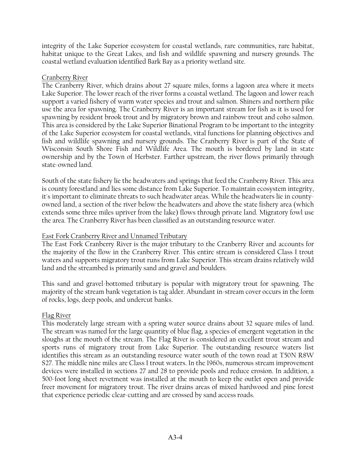integrity of the Lake Superior ecosystem for coastal wetlands, rare communities, rare habitat, habitat unique to the Great Lakes, and fish and wildlife spawning and nursery grounds. The coastal wetland evaluation identified Bark Bay as a priority wetland site.

## Cranberry River

The Cranberry River, which drains about 27 square miles, forms a lagoon area where it meets Lake Superior. The lower reach of the river forms a coastal wetland. The lagoon and lower reach support a varied fishery of warm water species and trout and salmon. Shiners and northern pike use the area for spawning. The Cranberry River is an important stream for fish as it is used for spawning by resident brook trout and by migratory brown and rainbow trout and coho salmon. This area is considered by the Lake Superior Binational Program to be important to the integrity of the Lake Superior ecosystem for coastal wetlands, vital functions for planning objectives and fish and wildlife spawning and nursery grounds. The Cranberry River is part of the State of Wisconsin South Shore Fish and Wildlife Area. The mouth is bordered by land in state ownership and by the Town of Herbster. Farther upstream, the river flows primarily through state-owned land.

South of the state fishery lie the headwaters and springs that feed the Cranberry River. This area is county forestland and lies some distance from Lake Superior. To maintain ecosystem integrity, it's important to eliminate threats to such headwater areas. While the headwaters lie in countyowned land, a section of the river below the headwaters and above the state fishery area (which extends some three miles upriver from the lake) flows through private land. Migratory fowl use the area. The Cranberry River has been classified as an outstanding resource water.

# East Fork Cranberry River and Unnamed Tributary

The East Fork Cranberry River is the major tributary to the Cranberry River and accounts for the majority of the flow in the Cranberry River. This entire stream is considered Class I trout waters and supports migratory trout runs from Lake Superior. This stream drains relatively wild land and the streambed is primarily sand and gravel and boulders.

This sand and gravel-bottomed tributary is popular with migratory trout for spawning. The majority of the stream bank vegetation is tag alder. Abundant in-stream cover occurs in the form of rocks, logs, deep pools, and undercut banks.

# Flag River

This moderately large stream with a spring water source drains about 32 square miles of land. The stream was named for the large quantity of blue flag, a species of emergent vegetation in the sloughs at the mouth of the stream. The Flag River is considered an excellent trout stream and sports runs of migratory trout from Lake Superior. The outstanding resource waters list identifies this stream as an outstanding resource water south of the town road at T50N R8W S27. The middle nine miles are Class I trout waters. In the 1960s, numerous stream improvement devices were installed in sections 27 and 28 to provide pools and reduce erosion. In addition, a 500-foot long sheet revetment was installed at the mouth to keep the outlet open and provide freer movement for migratory trout. The river drains areas of mixed hardwood and pine forest that experience periodic clear-cutting and are crossed by sand access roads.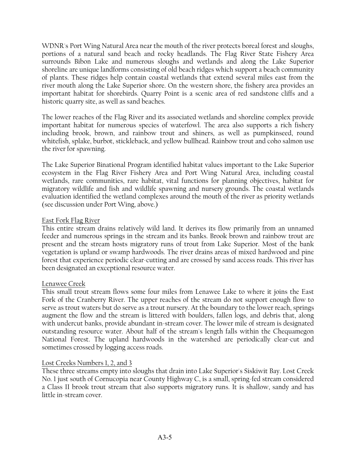WDNR's Port Wing Natural Area near the mouth of the river protects boreal forest and sloughs, portions of a natural sand beach and rocky headlands. The Flag River State Fishery Area surrounds Bibon Lake and numerous sloughs and wetlands and along the Lake Superior shoreline are unique landforms consisting of old beach ridges which support a beach community of plants. These ridges help contain coastal wetlands that extend several miles east from the river mouth along the Lake Superior shore. On the western shore, the fishery area provides an important habitat for shorebirds. Quarry Point is a scenic area of red sandstone cliffs and a historic quarry site, as well as sand beaches.

The lower reaches of the Flag River and its associated wetlands and shoreline complex provide important habitat for numerous species of waterfowl. The area also supports a rich fishery including brook, brown, and rainbow trout and shiners, as well as pumpkinseed, round whitefish, splake, burbot, stickleback, and yellow bullhead. Rainbow trout and coho salmon use the river for spawning.

The Lake Superior Binational Program identified habitat values important to the Lake Superior ecosystem in the Flag River Fishery Area and Port Wing Natural Area, including coastal wetlands, rare communities, rare habitat, vital functions for planning objectives, habitat for migratory wildlife and fish and wildlife spawning and nursery grounds. The coastal wetlands evaluation identified the wetland complexes around the mouth of the river as priority wetlands (see discussion under Port Wing, above.)

# East Fork Flag River

This entire stream drains relatively wild land. It derives its flow primarily from an unnamed feeder and numerous springs in the stream and its banks. Brook brown and rainbow trout are present and the stream hosts migratory runs of trout from Lake Superior. Most of the bank vegetation is upland or swamp hardwoods. The river drains areas of mixed hardwood and pine forest that experience periodic clear-cutting and are crossed by sand access roads. This river has been designated an exceptional resource water.

# Lenawee Creek

This small trout stream flows some four miles from Lenawee Lake to where it joins the East Fork of the Cranberry River. The upper reaches of the stream do not support enough flow to serve as trout waters but do serve as a trout nursery. At the boundary to the lower reach, springs augment the flow and the stream is littered with boulders, fallen logs, and debris that, along with undercut banks, provide abundant in-stream cover. The lower mile of stream is designated outstanding resource water. About half of the stream's length falls within the Chequamegon National Forest. The upland hardwoods in the watershed are periodically clear-cut and sometimes crossed by logging access roads.

# Lost Creeks Numbers 1, 2, and 3

These three streams empty into sloughs that drain into Lake Superior's Siskiwit Bay. Lost Creek No. 1 just south of Cornucopia near County Highway C, is a small, spring-fed stream considered a Class II brook trout stream that also supports migratory runs. It is shallow, sandy and has little in-stream cover.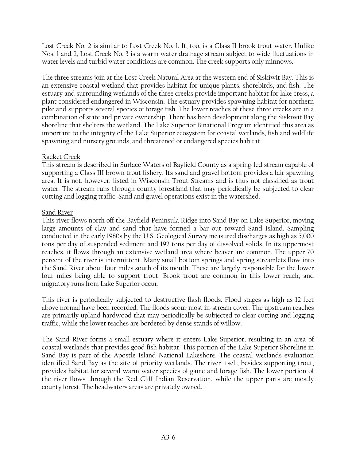Lost Creek No. 2 is similar to Lost Creek No. 1. It, too, is a Class II brook trout water. Unlike Nos. 1 and 2, Lost Creek No. 3 is a warm water drainage stream subject to wide fluctuations in water levels and turbid water conditions are common. The creek supports only minnows.

The three streams join at the Lost Creek Natural Area at the western end of Siskiwit Bay. This is an extensive coastal wetland that provides habitat for unique plants, shorebirds, and fish. The estuary and surrounding wetlands of the three creeks provide important habitat for lake cress, a plant considered endangered in Wisconsin. The estuary provides spawning habitat for northern pike and supports several species of forage fish. The lower reaches of these three creeks are in a combination of state and private ownership. There has been development along the Siskiwit Bay shoreline that shelters the wetland. The Lake Superior Binational Program identified this area as important to the integrity of the Lake Superior ecosystem for coastal wetlands, fish and wildlife spawning and nursery grounds, and threatened or endangered species habitat.

# Racket Creek

This stream is described in Surface Waters of Bayfield County as a spring-fed stream capable of supporting a Class III brown trout fishery. Its sand and gravel bottom provides a fair spawning area. It is not, however, listed in Wisconsin Trout Streams and is thus not classified as trout water. The stream runs through county forestland that may periodically be subjected to clear cutting and logging traffic. Sand and gravel operations exist in the watershed.

# Sand River

This river flows north off the Bayfield Peninsula Ridge into Sand Bay on Lake Superior, moving large amounts of clay and sand that have formed a bar out toward Sand Island. Sampling conducted in the early 1980s by the U.S. Geological Survey measured discharges as high as 5,000 tons per day of suspended sediment and 192 tons per day of dissolved solids. In its uppermost reaches, it flows through an extensive wetland area where beaver are common. The upper 70 percent of the river is intermittent. Many small bottom springs and spring streamlets flow into the Sand River about four miles south of its mouth. These are largely responsible for the lower four miles being able to support trout. Brook trout are common in this lower reach, and migratory runs from Lake Superior occur.

This river is periodically subjected to destructive flash floods. Flood stages as high as 12 feet above normal have been recorded. The floods scour most in-stream cover. The upstream reaches are primarily upland hardwood that may periodically be subjected to clear cutting and logging traffic, while the lower reaches are bordered by dense stands of willow.

The Sand River forms a small estuary where it enters Lake Superior, resulting in an area of coastal wetlands that provides good fish habitat. This portion of the Lake Superior Shoreline in Sand Bay is part of the Apostle Island National Lakeshore. The coastal wetlands evaluation identified Sand Bay as the site of priority wetlands. The river itself, besides supporting trout, provides habitat for several warm water species of game and forage fish. The lower portion of the river flows through the Red Cliff Indian Reservation, while the upper parts are mostly county forest. The headwaters areas are privately owned.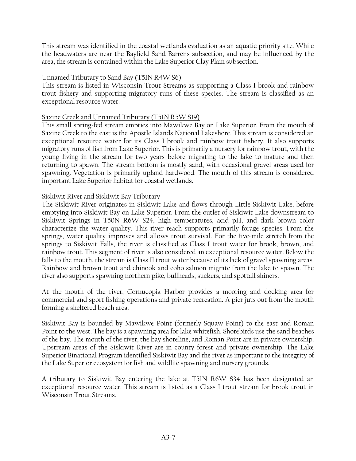This stream was identified in the coastal wetlands evaluation as an aquatic priority site. While the headwaters are near the Bayfield Sand Barrens subsection, and may be influenced by the area, the stream is contained within the Lake Superior Clay Plain subsection.

## Unnamed Tributary to Sand Bay (T51N R4W S6)

This stream is listed in Wisconsin Trout Streams as supporting a Class I brook and rainbow trout fishery and supporting migratory runs of these species. The stream is classified as an exceptional resource water.

### Saxine Creek and Unnamed Tributary (T51N R5W S19)

This small spring-fed stream empties into Mawikwe Bay on Lake Superior. From the mouth of Saxine Creek to the east is the Apostle Islands National Lakeshore. This stream is considered an exceptional resource water for its Class I brook and rainbow trout fishery. It also supports migratory runs of fish from Lake Superior. This is primarily a nursery for rainbow trout, with the young living in the stream for two years before migrating to the lake to mature and then returning to spawn. The stream bottom is mostly sand, with occasional gravel areas used for spawning. Vegetation is primarily upland hardwood. The mouth of this stream is considered important Lake Superior habitat for coastal wetlands.

# Siskiwit River and Siskiwit Bay Tributary

The Siskiwit River originates in Siskiwit Lake and flows through Little Siskiwit Lake, before emptying into Siskiwit Bay on Lake Superior. From the outlet of Siskiwit Lake downstream to Siskiwit Springs in T50N R6W S24, high temperatures, acid pH, and dark brown color characterize the water quality. This river reach supports primarily forage species. From the springs, water quality improves and allows trout survival. For the five-mile stretch from the springs to Siskiwit Falls, the river is classified as Class I trout water for brook, brown, and rainbow trout. This segment of river is also considered an exceptional resource water. Below the falls to the mouth, the stream is Class II trout water because of its lack of gravel spawning areas. Rainbow and brown trout and chinook and coho salmon migrate from the lake to spawn. The river also supports spawning northern pike, bullheads, suckers, and spottail shiners.

At the mouth of the river, Cornucopia Harbor provides a mooring and docking area for commercial and sport fishing operations and private recreation. A pier juts out from the mouth forming a sheltered beach area.

Siskiwit Bay is bounded by Mawikwe Point (formerly Squaw Point) to the east and Roman Point to the west. The bay is a spawning area for lake whitefish. Shorebirds use the sand beaches of the bay. The mouth of the river, the bay shoreline, and Roman Point are in private ownership. Upstream areas of the Siskiwit River are in county forest and private ownership. The Lake Superior Binational Program identified Siskiwit Bay and the river as important to the integrity of the Lake Superior ecosystem for fish and wildlife spawning and nursery grounds.

A tributary to Siskiwit Bay entering the lake at T51N R6W S34 has been designated an exceptional resource water. This stream is listed as a Class I trout stream for brook trout in Wisconsin Trout Streams.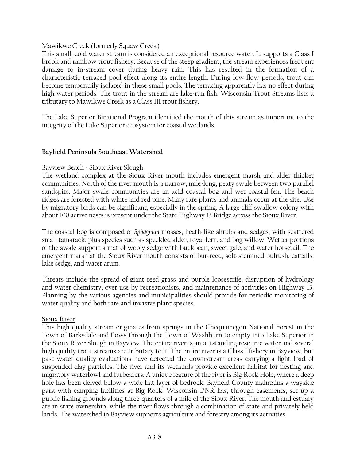# Mawikwe Creek (formerly Squaw Creek)

This small, cold water stream is considered an exceptional resource water. It supports a Class I brook and rainbow trout fishery. Because of the steep gradient, the stream experiences frequent damage to in-stream cover during heavy rain. This has resulted in the formation of a characteristic terraced pool effect along its entire length. During low flow periods, trout can become temporarily isolated in these small pools. The terracing apparently has no effect during high water periods. The trout in the stream are lake-run fish. Wisconsin Trout Streams lists a tributary to Mawikwe Creek as a Class III trout fishery.

The Lake Superior Binational Program identified the mouth of this stream as important to the integrity of the Lake Superior ecosystem for coastal wetlands.

### **Bayfield Peninsula Southeast Watershed**

#### Bayview Beach - Sioux River Slough

The wetland complex at the Sioux River mouth includes emergent marsh and alder thicket communities. North of the river mouth is a narrow, mile-long, peaty swale between two parallel sandspits. Major swale communities are an acid coastal bog and wet coastal fen. The beach ridges are forested with white and red pine. Many rare plants and animals occur at the site. Use by migratory birds can be significant, especially in the spring. A large cliff swallow colony with about 100 active nests is present under the State Highway 13 Bridge across the Sioux River.

The coastal bog is composed of *Sphagnum* mosses, heath-like shrubs and sedges, with scattered small tamarack, plus species such as speckled alder, royal fern, and bog willow. Wetter portions of the swale support a mat of wooly sedge with buckbean, sweet gale, and water horsetail. The emergent marsh at the Sioux River mouth consists of bur-reed, soft-stemmed bulrush, cattails, lake sedge, and water arum.

Threats include the spread of giant reed grass and purple loosestrife, disruption of hydrology and water chemistry, over use by recreationists, and maintenance of activities on Highway 13. Planning by the various agencies and municipalities should provide for periodic monitoring of water quality and both rare and invasive plant species.

#### Sioux River

This high quality stream originates from springs in the Chequamegon National Forest in the Town of Barksdale and flows through the Town of Washburn to empty into Lake Superior in the Sioux River Slough in Bayview. The entire river is an outstanding resource water and several high quality trout streams are tributary to it. The entire river is a Class I fishery in Bayview, but past water quality evaluations have detected the downstream areas carrying a light load of suspended clay particles. The river and its wetlands provide excellent habitat for nesting and migratory waterfowl and furbearers. A unique feature of the river is Big Rock Hole, where a deep hole has been delved below a wide flat layer of bedrock. Bayfield County maintains a wayside park with camping facilities at Big Rock. Wisconsin DNR has, through easements, set up a public fishing grounds along three-quarters of a mile of the Sioux River. The mouth and estuary are in state ownership, while the river flows through a combination of state and privately held lands. The watershed in Bayview supports agriculture and forestry among its activities.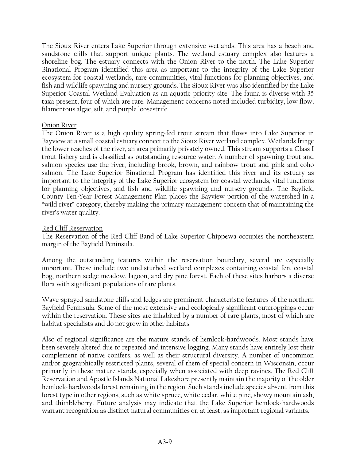The Sioux River enters Lake Superior through extensive wetlands. This area has a beach and sandstone cliffs that support unique plants. The wetland estuary complex also features a shoreline bog. The estuary connects with the Onion River to the north. The Lake Superior Binational Program identified this area as important to the integrity of the Lake Superior ecosystem for coastal wetlands, rare communities, vital functions for planning objectives, and fish and wildlife spawning and nursery grounds. The Sioux River was also identified by the Lake Superior Coastal Wetland Evaluation as an aquatic priority site. The fauna is diverse with 35 taxa present, four of which are rare. Management concerns noted included turbidity, low flow, filamentous algae, silt, and purple loosestrife.

### Onion River

The Onion River is a high quality spring-fed trout stream that flows into Lake Superior in Bayview at a small coastal estuary connect to the Sioux River wetland complex. Wetlands fringe the lower reaches of the river, an area primarily privately owned. This stream supports a Class I trout fishery and is classified as outstanding resource water. A number of spawning trout and salmon species use the river, including brook, brown, and rainbow trout and pink and coho salmon. The Lake Superior Binational Program has identified this river and its estuary as important to the integrity of the Lake Superior ecosystem for coastal wetlands, vital functions for planning objectives, and fish and wildlife spawning and nursery grounds. The Bayfield County Ten-Year Forest Management Plan places the Bayview portion of the watershed in a "wild river" category, thereby making the primary management concern that of maintaining the river's water quality.

### Red Cliff Reservation

The Reservation of the Red Cliff Band of Lake Superior Chippewa occupies the northeastern margin of the Bayfield Peninsula.

Among the outstanding features within the reservation boundary, several are especially important. These include two undisturbed wetland complexes containing coastal fen, coastal bog, northern sedge meadow, lagoon, and dry pine forest. Each of these sites harbors a diverse flora with significant populations of rare plants.

Wave-sprayed sandstone cliffs and ledges are prominent characteristic features of the northern Bayfield Peninsula. Some of the most extensive and ecologically significant outcroppings occur within the reservation. These sites are inhabited by a number of rare plants, most of which are habitat specialists and do not grow in other habitats.

Also of regional significance are the mature stands of hemlock-hardwoods. Most stands have been severely altered due to repeated and intensive logging. Many stands have entirely lost their complement of native conifers, as well as their structural diversity. A number of uncommon and/or geographically restricted plants, several of them of special concern in Wisconsin, occur primarily in these mature stands, especially when associated with deep ravines. The Red Cliff Reservation and Apostle Islands National Lakeshore presently maintain the majority of the older hemlock-hardwoods forest remaining in the region. Such stands include species absent from this forest type in other regions, such as white spruce, white cedar, white pine, showy mountain ash, and thimbleberry. Future analysis may indicate that the Lake Superior hemlock-hardwoods warrant recognition as distinct natural communities or, at least, as important regional variants.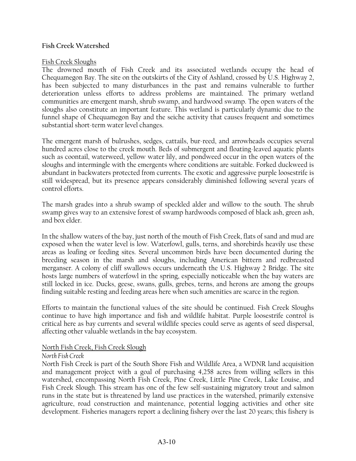### **Fish Creek Watershed**

### Fish Creek Sloughs

The drowned mouth of Fish Creek and its associated wetlands occupy the head of Chequamegon Bay. The site on the outskirts of the City of Ashland, crossed by U.S. Highway 2, has been subjected to many disturbances in the past and remains vulnerable to further deterioration unless efforts to address problems are maintained. The primary wetland communities are emergent marsh, shrub swamp, and hardwood swamp. The open waters of the sloughs also constitute an important feature. This wetland is particularly dynamic due to the funnel shape of Chequamegon Bay and the seiche activity that causes frequent and sometimes substantial short-term water level changes.

The emergent marsh of bulrushes, sedges, cattails, bur-reed, and arrowheads occupies several hundred acres close to the creek mouth. Beds of submergent and floating-leaved aquatic plants such as coontail, waterweed, yellow water lily, and pondweed occur in the open waters of the sloughs and intermingle with the emergents where conditions are suitable. Forked duckweed is abundant in backwaters protected from currents. The exotic and aggressive purple loosestrife is still widespread, but its presence appears considerably diminished following several years of control efforts.

The marsh grades into a shrub swamp of speckled alder and willow to the south. The shrub swamp gives way to an extensive forest of swamp hardwoods composed of black ash, green ash, and box elder.

In the shallow waters of the bay, just north of the mouth of Fish Creek, flats of sand and mud are exposed when the water level is low. Waterfowl, gulls, terns, and shorebirds heavily use these areas as loafing or feeding sites. Several uncommon birds have been documented during the breeding season in the marsh and sloughs, including American bittern and redbreasted merganser. A colony of cliff swallows occurs underneath the U.S. Highway 2 Bridge. The site hosts large numbers of waterfowl in the spring, especially noticeable when the bay waters are still locked in ice. Ducks, geese, swans, gulls, grebes, terns, and herons are among the groups finding suitable resting and feeding areas here when such amenities are scarce in the region.

Efforts to maintain the functional values of the site should be continued. Fish Creek Sloughs continue to have high importance and fish and wildlife habitat. Purple loosestrife control is critical here as bay currents and several wildlife species could serve as agents of seed dispersal, affecting other valuable wetlands in the bay ecosystem.

# North Fish Creek, Fish Creek Slough

# *North Fish Creek*

North Fish Creek is part of the South Shore Fish and Wildlife Area, a WDNR land acquisition and management project with a goal of purchasing 4,258 acres from willing sellers in this watershed, encompassing North Fish Creek, Pine Creek, Little Pine Creek, Lake Louise, and Fish Creek Slough. This stream has one of the few self-sustaining migratory trout and salmon runs in the state but is threatened by land use practices in the watershed, primarily extensive agriculture, road construction and maintenance, potential logging activities and other site development. Fisheries managers report a declining fishery over the last 20 years; this fishery is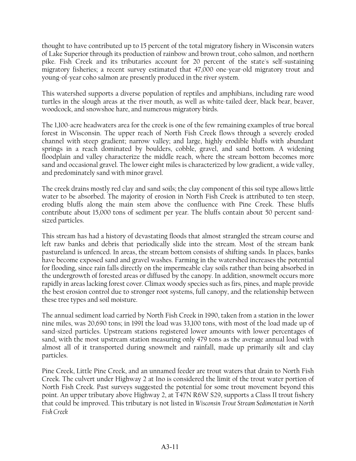thought to have contributed up to 15 percent of the total migratory fishery in Wisconsin waters of Lake Superior through its production of rainbow and brown trout, coho salmon, and northern pike. Fish Creek and its tributaries account for 20 percent of the state's self-sustaining migratory fisheries; a recent survey estimated that 47,000 one-year-old migratory trout and young-of-year coho salmon are presently produced in the river system.

This watershed supports a diverse population of reptiles and amphibians, including rare wood turtles in the slough areas at the river mouth, as well as white-tailed deer, black bear, beaver, woodcock, and snowshoe hare, and numerous migratory birds.

The 1,100-acre headwaters area for the creek is one of the few remaining examples of true boreal forest in Wisconsin. The upper reach of North Fish Creek flows through a severely eroded channel with steep gradient; narrow valley; and large, highly erodible bluffs with abundant springs in a reach dominated by boulders, cobble, gravel, and sand bottom. A widening floodplain and valley characterize the middle reach, where the stream bottom becomes more sand and occasional gravel. The lower eight miles is characterized by low gradient, a wide valley, and predominately sand with minor gravel.

The creek drains mostly red clay and sand soils; the clay component of this soil type allows little water to be absorbed. The majority of erosion in North Fish Creek is attributed to ten steep, eroding bluffs along the main stem above the confluence with Pine Creek. These bluffs contribute about 15,000 tons of sediment per year. The bluffs contain about 50 percent sandsized particles.

This stream has had a history of devastating floods that almost strangled the stream course and left raw banks and debris that periodically slide into the stream. Most of the stream bank pastureland is unfenced. In areas, the stream bottom consists of shifting sands. In places, banks have become exposed sand and gravel washes. Farming in the watershed increases the potential for flooding, since rain falls directly on the impermeable clay soils rather than being absorbed in the undergrowth of forested areas or diffused by the canopy. In addition, snowmelt occurs more rapidly in areas lacking forest cover. Climax woody species such as firs, pines, and maple provide the best erosion control due to stronger root systems, full canopy, and the relationship between these tree types and soil moisture.

The annual sediment load carried by North Fish Creek in 1990, taken from a station in the lower nine miles, was 20,690 tons; in 1991 the load was 33,100 tons, with most of the load made up of sand-sized particles. Upstream stations registered lower amounts with lower percentages of sand, with the most upstream station measuring only 479 tons as the average annual load with almost all of it transported during snowmelt and rainfall, made up primarily silt and clay particles.

Pine Creek, Little Pine Creek, and an unnamed feeder are trout waters that drain to North Fish Creek. The culvert under Highway 2 at Ino is considered the limit of the trout water portion of North Fish Creek. Past surveys suggested the potential for some trout movement beyond this point. An upper tributary above Highway 2, at T47N R6W S29, supports a Class II trout fishery that could be improved. This tributary is not listed in *Wisconsin Trout Stream Sedimentation in North Fish Creek*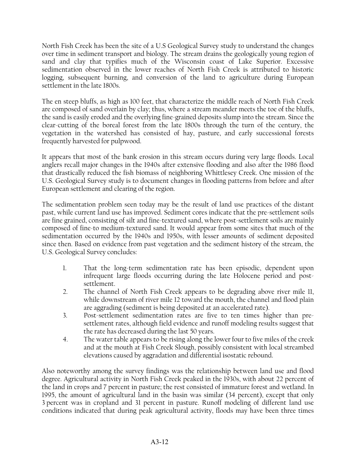North Fish Creek has been the site of a U.S Geological Survey study to understand the changes over time in sediment transport and biology. The stream drains the geologically young region of sand and clay that typifies much of the Wisconsin coast of Lake Superior. Excessive sedimentation observed in the lower reaches of North Fish Creek is attributed to historic logging, subsequent burning, and conversion of the land to agriculture during European settlement in the late 1800s.

The en steep bluffs, as high as 100 feet, that characterize the middle reach of North Fish Creek are composed of sand overlain by clay; thus, where a stream meander meets the toe of the bluffs, the sand is easily eroded and the overlying fine-grained deposits slump into the stream. Since the clear-cutting of the boreal forest from the late 1800s through the turn of the century, the vegetation in the watershed has consisted of hay, pasture, and early successional forests frequently harvested for pulpwood.

It appears that most of the bank erosion in this stream occurs during very large floods. Local anglers recall major changes in the 1940s after extensive flooding and also after the 1986 flood that drastically reduced the fish biomass of neighboring Whittlesey Creek. One mission of the U.S. Geological Survey study is to document changes in flooding patterns from before and after European settlement and clearing of the region.

The sedimentation problem seen today may be the result of land use practices of the distant past, while current land use has improved. Sediment cores indicate that the pre-settlement soils are fine grained, consisting of silt and fine-textured sand, where post-settlement soils are mainly composed of fine-to medium-textured sand. It would appear from some sites that much of the sedimentation occurred by the 1940s and 1950s, with lesser amounts of sediment deposited since then. Based on evidence from past vegetation and the sediment history of the stream, the U.S. Geological Survey concludes:

- 1. That the long-term sedimentation rate has been episodic, dependent upon infrequent large floods occurring during the late Holocene period and postsettlement.
- 2. The channel of North Fish Creek appears to be degrading above river mile 11, while downstream of river mile 12 toward the mouth, the channel and flood plain are aggrading (sediment is being deposited at an accelerated rate).
- 3. Post-settlement sedimentation rates are five to ten times higher than presettlement rates, although field evidence and runoff modeling results suggest that the rate has decreased during the last 50 years.
- 4. The water table appears to be rising along the lower four to five miles of the creek and at the mouth at Fish Creek Slough, possibly consistent with local streambed elevations caused by aggradation and differential isostatic rebound.

Also noteworthy among the survey findings was the relationship between land use and flood degree. Agricultural activity in North Fish Creek peaked in the 1930s, with about 22 percent of the land in crops and 7 percent in pasture; the rest consisted of immature forest and wetland. In 1995, the amount of agricultural land in the basin was similar (34 percent), except that only 3 percent was in cropland and 31 percent in pasture. Runoff modeling of different land use conditions indicated that during peak agricultural activity, floods may have been three times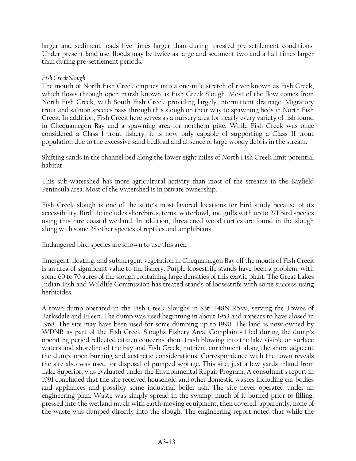larger and sediment loads five times larger than during forested pre-settlement conditions. Under present land use, floods may be twice as large and sediment two and a half times larger than during pre-settlement periods.

## *Fish Creek Slough*

The mouth of North Fish Creek empties into a one-mile stretch of river known as Fish Creek, which flows through open marsh known as Fish Creek Slough. Most of the flow comes from North Fish Creek, with South Fish Creek providing largely intermittent drainage. Migratory trout and salmon species pass through this slough on their way to spawning beds in North Fish Creek. In addition, Fish Creek here serves as a nursery area for nearly every variety of fish found in Chequamegon Bay and a spawning area for northern pike. While Fish Creek was once considered a Class I trout fishery, it is now only capable of supporting a Class II trout population due to the excessive sand bedload and absence of large woody debris in the stream.

Shifting sands in the channel bed along the lower eight miles of North Fish Creek limit potential habitat.

This sub-watershed has more agricultural activity than most of the streams in the Bayfield Peninsula area. Most of the watershed is in private ownership.

Fish Creek slough is one of the state's most-favored locations for bird study because of its accessibility. Bird life includes shorebirds, terns, waterfowl, and gulls with up to 271 bird species using this rare coastal wetland. In addition, threatened wood turtles are found in the slough along with some 28 other species of reptiles and amphibians.

Endangered bird species are known to use this area.

Emergent, floating, and submergent vegetation in Chequamegon Bay off the mouth of Fish Creek is an area of significant value to the fishery. Purple loosestrife stands have been a problem, with some 60 to 70 acres of the slough containing large densities of this exotic plant. The Great Lakes Indian Fish and Wildlife Commission has treated stands of loosestrife with some success using herbicides.

A town dump operated in the Fish Creek Sloughs in S36 T48N R5W, serving the Towns of Barksdale and Eileen. The dump was used beginning in about 1953 and appears to have closed in 1968. The site may have been used for some dumping up to 1990. The land is now owned by WDNR as part of the Fish Creek Sloughs Fishery Area. Complaints filed during the dump's operating period reflected citizen concerns about trash blowing into the lake visible on surface waters and shoreline of the bay and Fish Creek, nutrient enrichment along the shore adjacent the dump, open burning and aesthetic considerations. Correspondence with the town reveals the site also was used for disposal of pumped septage. This site, just a few yards inland from Lake Superior, was evaluated under the Environmental Repair Program. A consultant's report in 1991 concluded that the site received household and other domestic wastes including car bodies and appliances and possibly some industrial boiler ash. The site never operated under an engineering plan. Waste was simply spread in the swamp, much of it burned prior to filling, pressed into the wetland muck with earth-moving equipment, then covered; apparently, none of the waste was dumped directly into the slough. The engineering report noted that while the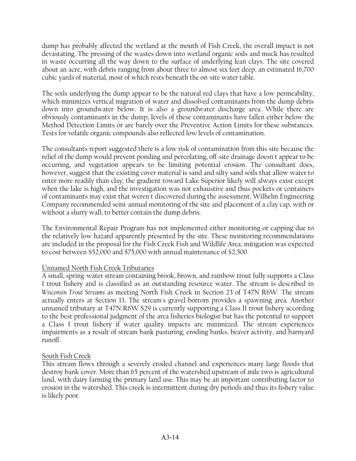dump has probably affected the wetland at the mouth of Fish Creek, the overall impact is not devastating. The pressing of the wastes down into wetland organic soils and muck has resulted in waste occurring all the way down to the surface of underlying lean clays. The site covered about an acre, with debris ranging from about three to almost six feet deep, an estimated 16,700 cubic yards of material, most of which rests beneath the on-site water table.

The soils underlying the dump appear to be the natural red clays that have a low permeability, which minimizes vertical migration of water and dissolved contaminants from the dump debris down into groundwater below. It is also a groundwater discharge area. While there are obviously contaminants in the dump, levels of these contaminants have fallen either below the Method Detection Limits or are barely over the Preventive Action Limits for these substances. Tests for volatile organic compounds also reflected low levels of contamination.

The consultants report suggested there is a low risk of contamination from this site because the relief of the dump would prevent ponding and percolating, off-site drainage doesn't appear to be occurring, and vegetation appears to be limiting potential erosion. The consultant does, however, suggest that the existing cover material is sand and silty sand soils that allow water to enter more readily than clay; the gradient toward Lake Superior likely will always exist except when the lake is high; and the investigation was not exhaustive and thus pockets or containers of contaminants may exist that weren't discovered during the assessment. Wilhelm Engineering Company recommended semi-annual monitoring of the site and placement of a clay cap, with or without a slurry wall, to better contain the dump debris.

The Environmental Repair Program has not implemented either monitoring or capping due to the relatively low hazard apparently presented by the site. These monitoring recommendations are included in the proposal for the Fish Creek Fish and Wildlife Area; mitigation was expected to cost between \$52,000 and \$75,000 with annual maintenance of \$2,500.

# Unnamed North Fish Creek Tributaries

A small, spring-water stream containing brook, brown, and rainbow trout fully supports a Class I trout fishery and is classified as an outstanding resource water. The stream is described in *Wisconsin Trout Streams* as meeting North Fish Creek in Section 23 of T47N R6W. The stream actually enters at Section 13. The stream's gravel bottom provides a spawning area. Another unnamed tributary at T47N R6W S29 is currently supporting a Class II trout fishery according to the best professional judgment of the area fisheries biologist but has the potential to support a Class I trout fishery if water quality impacts are minimized. The stream experiences impairments as a result of stream bank pasturing, eroding banks, beaver activity, and barnyard runoff.

# South Fish Creek

This stream flows through a severely eroded channel and experiences many large floods that destroy bank cover. More than 65 percent of the watershed upstream of mile two is agricultural land, with dairy farming the primary land use. This may be an important contributing factor to erosion in the watershed. This creek is intermittent during dry periods and thus its fishery value is likely poor.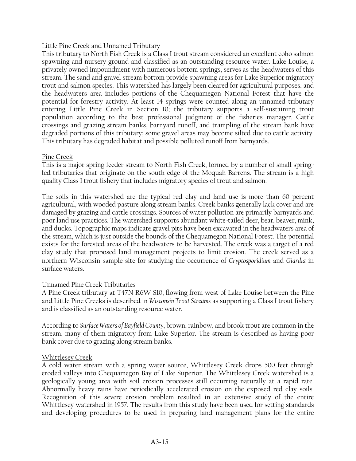# Little Pine Creek and Unnamed Tributary

This tributary to North Fish Creek is a Class I trout stream considered an excellent coho salmon spawning and nursery ground and classified as an outstanding resource water. Lake Louise, a privately owned impoundment with numerous bottom springs, serves as the headwaters of this stream. The sand and gravel stream bottom provide spawning areas for Lake Superior migratory trout and salmon species. This watershed has largely been cleared for agricultural purposes, and the headwaters area includes portions of the Chequamegon National Forest that have the potential for forestry activity. At least 14 springs were counted along an unnamed tributary entering Little Pine Creek in Section 10; the tributary supports a self-sustaining trout population according to the best professional judgment of the fisheries manager. Cattle crossings and grazing stream banks, barnyard runoff, and trampling of the stream bank have degraded portions of this tributary; some gravel areas may become silted due to cattle activity. This tributary has degraded habitat and possible polluted runoff from barnyards.

### Pine Creek

This is a major spring feeder stream to North Fish Creek, formed by a number of small springfed tributaries that originate on the south edge of the Moquah Barrens. The stream is a high quality Class I trout fishery that includes migratory species of trout and salmon.

The soils in this watershed are the typical red clay and land use is more than 60 percent agricultural, with wooded pasture along stream banks. Creek banks generally lack cover and are damaged by grazing and cattle crossings. Sources of water pollution are primarily barnyards and poor land use practices. The watershed supports abundant white-tailed deer, bear, beaver, mink, and ducks. Topographic maps indicate gravel pits have been excavated in the headwaters area of the stream, which is just outside the bounds of the Chequamegon National Forest. The potential exists for the forested areas of the headwaters to be harvested. The creek was a target of a red clay study that proposed land management projects to limit erosion. The creek served as a northern Wisconsin sample site for studying the occurrence of *Cryptosporidium* and *Giardia* in surface waters.

# Unnamed Pine Creek Tributaries

A Pine Creek tributary at T47N R6W S10, flowing from west of Lake Louise between the Pine and Little Pine Creeks is described in *Wisconsin Trout Streams* as supporting a Class I trout fishery and is classified as an outstanding resource water.

According to *Surface Waters of Bayfield County*, brown, rainbow, and brook trout are common in the stream, many of them migratory from Lake Superior. The stream is described as having poor bank cover due to grazing along stream banks.

# Whittlesey Creek

A cold water stream with a spring water source, Whittlesey Creek drops 500 feet through eroded valleys into Chequamegon Bay of Lake Superior. The Whittlesey Creek watershed is a geologically young area with soil erosion processes still occurring naturally at a rapid rate. Abnormally heavy rains have periodically accelerated erosion on the exposed red clay soils. Recognition of this severe erosion problem resulted in an extensive study of the entire Whittlesey watershed in 1957. The results from this study have been used for setting standards and developing procedures to be used in preparing land management plans for the entire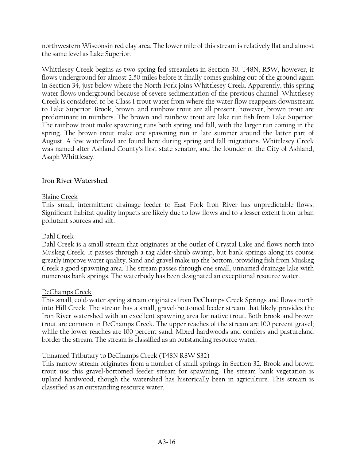northwestern Wisconsin red clay area. The lower mile of this stream is relatively flat and almost the same level as Lake Superior.

Whittlesey Creek begins as two spring fed streamlets in Section 30, T48N, R5W, however, it flows underground for almost 2.50 miles before it finally comes gushing out of the ground again in Section 34, just below where the North Fork joins Whittlesey Creek. Apparently, this spring water flows underground because of severe sedimentation of the previous channel. Whittlesey Creek is considered to be Class I trout water from where the water flow reappears downstream to Lake Superior. Brook, brown, and rainbow trout are all present; however, brown trout are predominant in numbers. The brown and rainbow trout are lake run fish from Lake Superior. The rainbow trout make spawning runs both spring and fall, with the larger run coming in the spring. The brown trout make one spawning run in late summer around the latter part of August. A few waterfowl are found here during spring and fall migrations. Whittlesey Creek was named after Ashland County's first state senator, and the founder of the City of Ashland, Asaph Whittlesey.

# **Iron River Watershed**

# Blaine Creek

This small, intermittent drainage feeder to East Fork Iron River has unpredictable flows. Significant habitat quality impacts are likely due to low flows and to a lesser extent from urban pollutant sources and silt.

# Dahl Creek

Dahl Creek is a small stream that originates at the outlet of Crystal Lake and flows north into Muskeg Creek. It passes through a tag alder-shrub swamp, but bank springs along its course greatly improve water quality. Sand and gravel make up the bottom, providing fish from Muskeg Creek a good spawning area. The stream passes through one small, unnamed drainage lake with numerous bank springs. The waterbody has been designated an exceptional resource water.

# DeChamps Creek

This small, cold-water spring stream originates from DeChamps Creek Springs and flows north into Hill Creek. The stream has a small, gravel-bottomed feeder stream that likely provides the Iron River watershed with an excellent spawning area for native trout. Both brook and brown trout are common in DeChamps Creek. The upper reaches of the stream are 100 percent gravel; while the lower reaches are 100 percent sand. Mixed hardwoods and conifers and pastureland border the stream. The stream is classified as an outstanding resource water.

# Unnamed Tributary to DeChamps Creek (T48N R8W S32)

This narrow stream originates from a number of small springs in Section 32. Brook and brown trout use this gravel-bottomed feeder stream for spawning. The stream bank vegetation is upland hardwood, though the watershed has historically been in agriculture. This stream is classified as an outstanding resource water.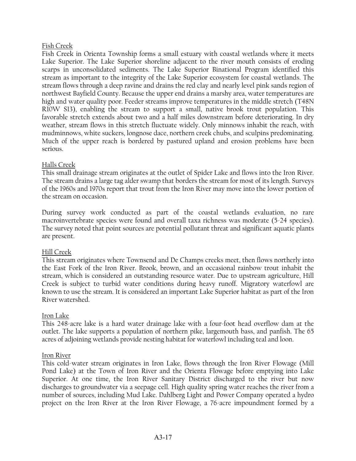# Fish Creek

Fish Creek in Orienta Township forms a small estuary with coastal wetlands where it meets Lake Superior. The Lake Superior shoreline adjacent to the river mouth consists of eroding scarps in unconsolidated sediments. The Lake Superior Binational Program identified this stream as important to the integrity of the Lake Superior ecosystem for coastal wetlands. The stream flows through a deep ravine and drains the red clay and nearly level pink sands region of northwest Bayfield County. Because the upper end drains a marshy area, water temperatures are high and water quality poor. Feeder streams improve temperatures in the middle stretch (T48N R10W S13), enabling the stream to support a small, native brook trout population. This favorable stretch extends about two and a half miles downstream before deteriorating. In dry weather, stream flows in this stretch fluctuate widely. Only minnows inhabit the reach, with mudminnows, white suckers, longnose dace, northern creek chubs, and sculpins predominating. Much of the upper reach is bordered by pastured upland and erosion problems have been serious.

# Halls Creek

This small drainage stream originates at the outlet of Spider Lake and flows into the Iron River. The stream drains a large tag alder swamp that borders the stream for most of its length. Surveys of the 1960s and 1970s report that trout from the Iron River may move into the lower portion of the stream on occasion.

During survey work conducted as part of the coastal wetlands evaluation, no rare macroinvertebrate species were found and overall taxa richness was moderate (5-24 species). The survey noted that point sources are potential pollutant threat and significant aquatic plants are present.

# Hill Creek

This stream originates where Townsend and De Champs creeks meet, then flows northerly into the East Fork of the Iron River. Brook, brown, and an occasional rainbow trout inhabit the stream, which is considered an outstanding resource water. Due to upstream agriculture, Hill Creek is subject to turbid water conditions during heavy runoff. Migratory waterfowl are known to use the stream. It is considered an important Lake Superior habitat as part of the Iron River watershed.

# Iron Lake

This 248-acre lake is a hard water drainage lake with a four-foot head overflow dam at the outlet. The lake supports a population of northern pike, largemouth bass, and panfish. The 65 acres of adjoining wetlands provide nesting habitat for waterfowl including teal and loon.

# Iron River

This cold-water stream originates in Iron Lake, flows through the Iron River Flowage (Mill Pond Lake) at the Town of Iron River and the Orienta Flowage before emptying into Lake Superior. At one time, the Iron River Sanitary District discharged to the river but now discharges to groundwater via a seepage cell. High quality spring water reaches the river from a number of sources, including Mud Lake. Dahlberg Light and Power Company operated a hydro project on the Iron River at the Iron River Flowage, a 76-acre impoundment formed by a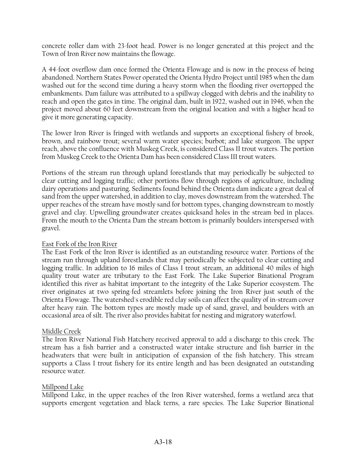concrete roller dam with 23-foot head. Power is no longer generated at this project and the Town of Iron River now maintains the flowage.

A 44-foot overflow dam once formed the Orienta Flowage and is now in the process of being abandoned. Northern States Power operated the Orienta Hydro Project until 1985 when the dam washed out for the second time during a heavy storm when the flooding river overtopped the embankments. Dam failure was attributed to a spillway clogged with debris and the inability to reach and open the gates in time. The original dam, built in 1922, washed out in 1946, when the project moved about 60 feet downstream from the original location and with a higher head to give it more generating capacity.

The lower Iron River is fringed with wetlands and supports an exceptional fishery of brook, brown, and rainbow trout; several warm water species; burbot; and lake sturgeon. The upper reach, above the confluence with Muskeg Creek, is considered Class II trout waters. The portion from Muskeg Creek to the Orienta Dam has been considered Class III trout waters.

Portions of the stream run through upland forestlands that may periodically be subjected to clear cutting and logging traffic; other portions flow through regions of agriculture, including dairy operations and pasturing. Sediments found behind the Orienta dam indicate a great deal of sand from the upper watershed, in addition to clay, moves downstream from the watershed. The upper reaches of the stream have mostly sand for bottom types, changing downstream to mostly gravel and clay. Upwelling groundwater creates quicksand holes in the stream bed in places. From the mouth to the Orienta Dam the stream bottom is primarily boulders interspersed with gravel.

# East Fork of the Iron River

The East Fork of the Iron River is identified as an outstanding resource water. Portions of the stream run through upland forestlands that may periodically be subjected to clear cutting and logging traffic. In addition to 16 miles of Class I trout stream, an additional 40 miles of high quality trout water are tributary to the East Fork. The Lake Superior Binational Program identified this river as habitat important to the integrity of the Lake Superior ecosystem. The river originates at two spring-fed streamlets before joining the Iron River just south of the Orienta Flowage. The watershed's erodible red clay soils can affect the quality of in-stream cover after heavy rain. The bottom types are mostly made up of sand, gravel, and boulders with an occasional area of silt. The river also provides habitat for nesting and migratory waterfowl.

# Middle Creek

The Iron River National Fish Hatchery received approval to add a discharge to this creek. The stream has a fish barrier and a constructed water intake structure and fish barrier in the headwaters that were built in anticipation of expansion of the fish hatchery. This stream supports a Class I trout fishery for its entire length and has been designated an outstanding resource water.

#### Millpond Lake

Millpond Lake, in the upper reaches of the Iron River watershed, forms a wetland area that supports emergent vegetation and black terns, a rare species. The Lake Superior Binational